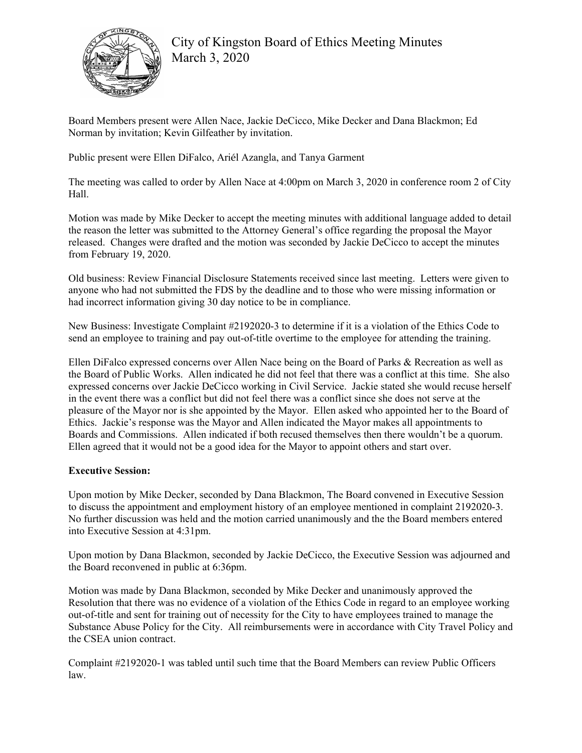

City of Kingston Board of Ethics Meeting Minutes March 3, 2020

Board Members present were Allen Nace, Jackie DeCicco, Mike Decker and Dana Blackmon; Ed Norman by invitation; Kevin Gilfeather by invitation.

Public present were Ellen DiFalco, Ariél Azangla, and Tanya Garment

The meeting was called to order by Allen Nace at 4:00pm on March 3, 2020 in conference room 2 of City Hall.

Motion was made by Mike Decker to accept the meeting minutes with additional language added to detail the reason the letter was submitted to the Attorney General's office regarding the proposal the Mayor released. Changes were drafted and the motion was seconded by Jackie DeCicco to accept the minutes from February 19, 2020.

Old business: Review Financial Disclosure Statements received since last meeting. Letters were given to anyone who had not submitted the FDS by the deadline and to those who were missing information or had incorrect information giving 30 day notice to be in compliance.

New Business: Investigate Complaint #2192020-3 to determine if it is a violation of the Ethics Code to send an employee to training and pay out-of-title overtime to the employee for attending the training.

Ellen DiFalco expressed concerns over Allen Nace being on the Board of Parks & Recreation as well as the Board of Public Works. Allen indicated he did not feel that there was a conflict at this time. She also expressed concerns over Jackie DeCicco working in Civil Service. Jackie stated she would recuse herself in the event there was a conflict but did not feel there was a conflict since she does not serve at the pleasure of the Mayor nor is she appointed by the Mayor. Ellen asked who appointed her to the Board of Ethics. Jackie's response was the Mayor and Allen indicated the Mayor makes all appointments to Boards and Commissions. Allen indicated if both recused themselves then there wouldn't be a quorum. Ellen agreed that it would not be a good idea for the Mayor to appoint others and start over.

## **Executive Session:**

Upon motion by Mike Decker, seconded by Dana Blackmon, The Board convened in Executive Session to discuss the appointment and employment history of an employee mentioned in complaint 2192020-3. No further discussion was held and the motion carried unanimously and the the Board members entered into Executive Session at 4:31pm.

Upon motion by Dana Blackmon, seconded by Jackie DeCicco, the Executive Session was adjourned and the Board reconvened in public at 6:36pm.

Motion was made by Dana Blackmon, seconded by Mike Decker and unanimously approved the Resolution that there was no evidence of a violation of the Ethics Code in regard to an employee working out-of-title and sent for training out of necessity for the City to have employees trained to manage the Substance Abuse Policy for the City. All reimbursements were in accordance with City Travel Policy and the CSEA union contract.

Complaint #2192020-1 was tabled until such time that the Board Members can review Public Officers law.